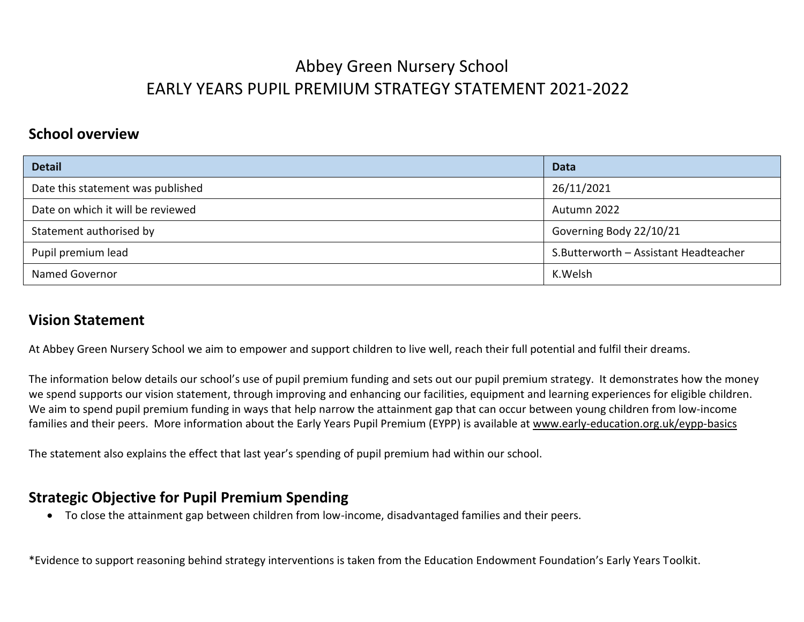#### **School overview**

| <b>Detail</b>                     | <b>Data</b>                           |
|-----------------------------------|---------------------------------------|
| Date this statement was published | 26/11/2021                            |
| Date on which it will be reviewed | Autumn 2022                           |
| Statement authorised by           | Governing Body 22/10/21               |
| Pupil premium lead                | S.Butterworth - Assistant Headteacher |
| <b>Named Governor</b>             | K.Welsh                               |

#### **Vision Statement**

At Abbey Green Nursery School we aim to empower and support children to live well, reach their full potential and fulfil their dreams.

The information below details our school's use of pupil premium funding and sets out our pupil premium strategy. It demonstrates how the money we spend supports our vision statement, through improving and enhancing our facilities, equipment and learning experiences for eligible children. We aim to spend pupil premium funding in ways that help narrow the attainment gap that can occur between young children from low-income families and their peers. More information about the Early Years Pupil Premium (EYPP) is available at [www.early-education.org.uk/eypp-basics](http://www.early-education.org.uk/eypp-basics)

The statement also explains the effect that last year's spending of pupil premium had within our school.

### **Strategic Objective for Pupil Premium Spending**

To close the attainment gap between children from low-income, disadvantaged families and their peers.

\*Evidence to support reasoning behind strategy interventions is taken from the Education Endowment Foundation's Early Years Toolkit.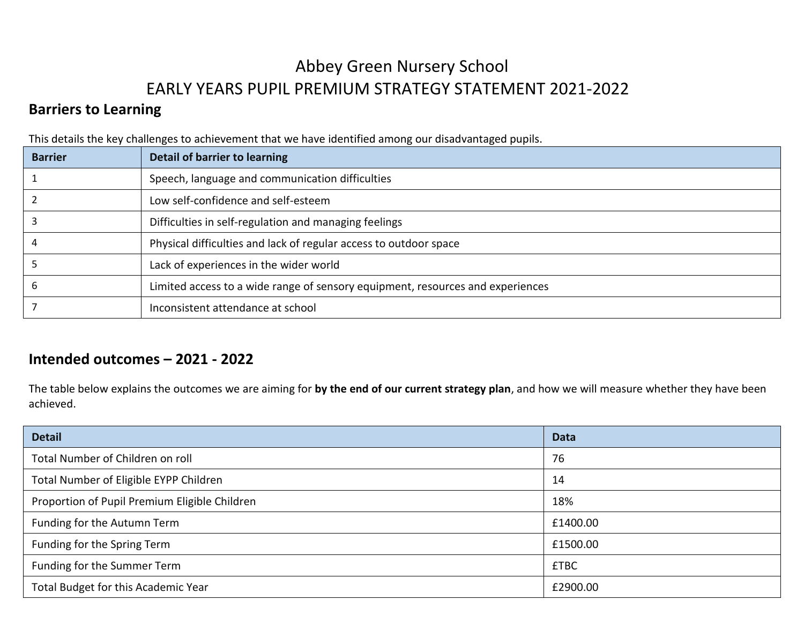### **Barriers to Learning**

This details the key challenges to achievement that we have identified among our disadvantaged pupils.

| <b>Barrier</b> | Detail of barrier to learning                                                  |
|----------------|--------------------------------------------------------------------------------|
|                | Speech, language and communication difficulties                                |
|                | Low self-confidence and self-esteem                                            |
|                | Difficulties in self-regulation and managing feelings                          |
|                | Physical difficulties and lack of regular access to outdoor space              |
|                | Lack of experiences in the wider world                                         |
|                | Limited access to a wide range of sensory equipment, resources and experiences |
|                | Inconsistent attendance at school                                              |

### **Intended outcomes – 2021 - 2022**

The table below explains the outcomes we are aiming for **by the end of our current strategy plan**, and how we will measure whether they have been achieved.

| <b>Detail</b>                                 | <b>Data</b> |
|-----------------------------------------------|-------------|
| Total Number of Children on roll              | 76          |
| Total Number of Eligible EYPP Children        | 14          |
| Proportion of Pupil Premium Eligible Children | 18%         |
| Funding for the Autumn Term                   | £1400.00    |
| Funding for the Spring Term                   | £1500.00    |
| Funding for the Summer Term                   | <b>£TBC</b> |
| Total Budget for this Academic Year           | £2900.00    |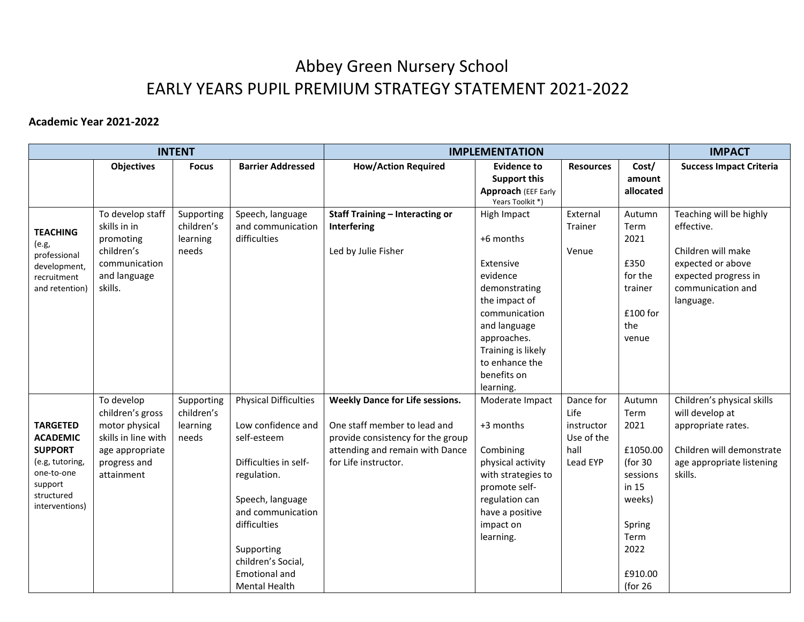#### **Academic Year 2021-2022**

|                               |                     | <b>INTENT</b> |                                       | <b>IMPLEMENTATION</b>                  |                                            |                  | <b>IMPACT</b>       |                                           |
|-------------------------------|---------------------|---------------|---------------------------------------|----------------------------------------|--------------------------------------------|------------------|---------------------|-------------------------------------------|
|                               | <b>Objectives</b>   | <b>Focus</b>  | <b>Barrier Addressed</b>              | <b>How/Action Required</b>             | <b>Evidence to</b>                         | <b>Resources</b> | Cost/               | <b>Success Impact Criteria</b>            |
|                               |                     |               |                                       |                                        | <b>Support this</b><br>Approach (EEF Early |                  | amount<br>allocated |                                           |
|                               |                     |               |                                       |                                        | Years Toolkit *)                           |                  |                     |                                           |
|                               | To develop staff    | Supporting    | Speech, language                      | <b>Staff Training - Interacting or</b> | High Impact                                | External         | Autumn              | Teaching will be highly                   |
| <b>TEACHING</b>               | skills in in        | children's    | and communication                     | Interfering                            |                                            | Trainer          | Term                | effective.                                |
| (e.g.,                        | promoting           | learning      | difficulties                          |                                        | +6 months                                  |                  | 2021                |                                           |
| professional                  | children's          | needs         |                                       | Led by Julie Fisher                    |                                            | Venue            |                     | Children will make                        |
| development,                  | communication       |               |                                       |                                        | Extensive                                  |                  | £350                | expected or above                         |
| recruitment                   | and language        |               |                                       |                                        | evidence                                   |                  | for the             | expected progress in<br>communication and |
| and retention)                | skills.             |               |                                       |                                        | demonstrating<br>the impact of             |                  | trainer             | language.                                 |
|                               |                     |               |                                       |                                        | communication                              |                  | $£100$ for          |                                           |
|                               |                     |               |                                       |                                        | and language                               |                  | the                 |                                           |
|                               |                     |               |                                       |                                        | approaches.                                |                  | venue               |                                           |
|                               |                     |               |                                       |                                        | Training is likely                         |                  |                     |                                           |
|                               |                     |               |                                       |                                        | to enhance the                             |                  |                     |                                           |
|                               |                     |               |                                       |                                        | benefits on                                |                  |                     |                                           |
|                               |                     |               |                                       |                                        | learning.                                  |                  |                     |                                           |
|                               | To develop          | Supporting    | <b>Physical Difficulties</b>          | <b>Weekly Dance for Life sessions.</b> | Moderate Impact                            | Dance for        | Autumn              | Children's physical skills                |
|                               | children's gross    | children's    |                                       |                                        |                                            | Life             | Term                | will develop at                           |
| <b>TARGETED</b>               | motor physical      | learning      | Low confidence and                    | One staff member to lead and           | +3 months                                  | instructor       | 2021                | appropriate rates.                        |
| <b>ACADEMIC</b>               | skills in line with | needs         | self-esteem                           | provide consistency for the group      |                                            | Use of the       |                     |                                           |
| <b>SUPPORT</b>                | age appropriate     |               |                                       | attending and remain with Dance        | Combining                                  | hall             | £1050.00            | Children will demonstrate                 |
| (e.g, tutoring,<br>one-to-one | progress and        |               | Difficulties in self-                 | for Life instructor.                   | physical activity                          | Lead EYP         | (for 30             | age appropriate listening                 |
| support                       | attainment          |               | regulation.                           |                                        | with strategies to                         |                  | sessions            | skills.                                   |
| structured                    |                     |               |                                       |                                        | promote self-                              |                  | in 15               |                                           |
| interventions)                |                     |               | Speech, language<br>and communication |                                        | regulation can<br>have a positive          |                  | weeks)              |                                           |
|                               |                     |               | difficulties                          |                                        | impact on                                  |                  | Spring              |                                           |
|                               |                     |               |                                       |                                        | learning.                                  |                  | Term                |                                           |
|                               |                     |               | Supporting                            |                                        |                                            |                  | 2022                |                                           |
|                               |                     |               | children's Social,                    |                                        |                                            |                  |                     |                                           |
|                               |                     |               | <b>Emotional and</b>                  |                                        |                                            |                  | £910.00             |                                           |
|                               |                     |               | <b>Mental Health</b>                  |                                        |                                            |                  | (for $26$           |                                           |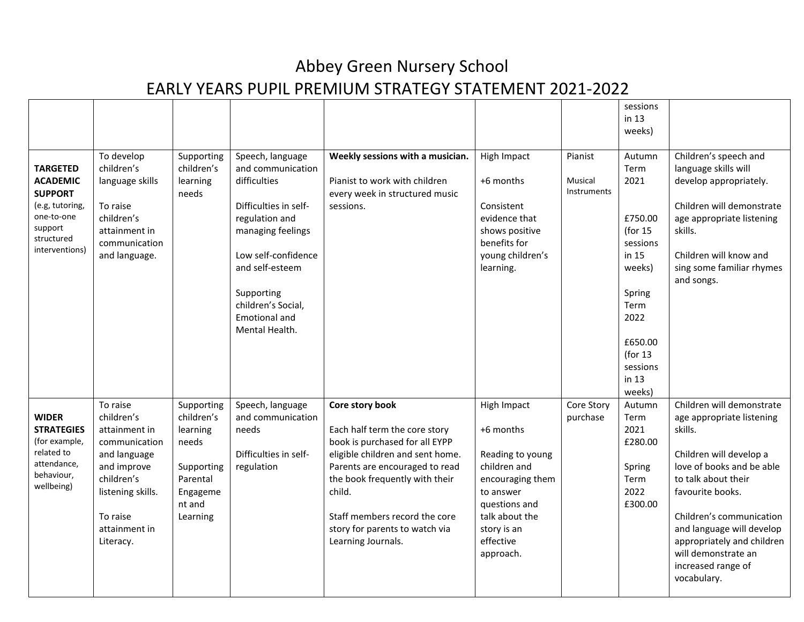|                                                                                                                                  |                                                                                                                                                                      |                                                                                                           |                                                                                                                                                                                                                                        |                                                                                                                                                                                                                                                                                               |                                                                                                                                                                           |                                   | sessions<br>in 13<br>weeks)                                                                                                                                    |                                                                                                                                                                                                                                                                                                                         |
|----------------------------------------------------------------------------------------------------------------------------------|----------------------------------------------------------------------------------------------------------------------------------------------------------------------|-----------------------------------------------------------------------------------------------------------|----------------------------------------------------------------------------------------------------------------------------------------------------------------------------------------------------------------------------------------|-----------------------------------------------------------------------------------------------------------------------------------------------------------------------------------------------------------------------------------------------------------------------------------------------|---------------------------------------------------------------------------------------------------------------------------------------------------------------------------|-----------------------------------|----------------------------------------------------------------------------------------------------------------------------------------------------------------|-------------------------------------------------------------------------------------------------------------------------------------------------------------------------------------------------------------------------------------------------------------------------------------------------------------------------|
| <b>TARGETED</b><br><b>ACADEMIC</b><br><b>SUPPORT</b><br>(e.g, tutoring,<br>one-to-one<br>support<br>structured<br>interventions) | To develop<br>children's<br>language skills<br>To raise<br>children's<br>attainment in<br>communication<br>and language.                                             | Supporting<br>children's<br>learning<br>needs                                                             | Speech, language<br>and communication<br>difficulties<br>Difficulties in self-<br>regulation and<br>managing feelings<br>Low self-confidence<br>and self-esteem<br>Supporting<br>children's Social,<br>Emotional and<br>Mental Health. | Weekly sessions with a musician.<br>Pianist to work with children<br>every week in structured music<br>sessions.                                                                                                                                                                              | High Impact<br>+6 months<br>Consistent<br>evidence that<br>shows positive<br>benefits for<br>young children's<br>learning.                                                | Pianist<br>Musical<br>Instruments | Autumn<br>Term<br>2021<br>£750.00<br>(for $15$<br>sessions<br>in 15<br>weeks)<br>Spring<br>Term<br>2022<br>£650.00<br>(for $13$<br>sessions<br>in 13<br>weeks) | Children's speech and<br>language skills will<br>develop appropriately.<br>Children will demonstrate<br>age appropriate listening<br>skills.<br>Children will know and<br>sing some familiar rhymes<br>and songs.                                                                                                       |
| <b>WIDER</b><br><b>STRATEGIES</b><br>(for example,<br>related to<br>attendance,<br>behaviour,<br>wellbeing)                      | To raise<br>children's<br>attainment in<br>communication<br>and language<br>and improve<br>children's<br>listening skills.<br>To raise<br>attainment in<br>Literacy. | Supporting<br>children's<br>learning<br>needs<br>Supporting<br>Parental<br>Engageme<br>nt and<br>Learning | Speech, language<br>and communication<br>needs<br>Difficulties in self-<br>regulation                                                                                                                                                  | Core story book<br>Each half term the core story<br>book is purchased for all EYPP<br>eligible children and sent home.<br>Parents are encouraged to read<br>the book frequently with their<br>child.<br>Staff members record the core<br>story for parents to watch via<br>Learning Journals. | High Impact<br>+6 months<br>Reading to young<br>children and<br>encouraging them<br>to answer<br>questions and<br>talk about the<br>story is an<br>effective<br>approach. | Core Story<br>purchase            | Autumn<br>Term<br>2021<br>£280.00<br>Spring<br>Term<br>2022<br>£300.00                                                                                         | Children will demonstrate<br>age appropriate listening<br>skills.<br>Children will develop a<br>love of books and be able<br>to talk about their<br>favourite books.<br>Children's communication<br>and language will develop<br>appropriately and children<br>will demonstrate an<br>increased range of<br>vocabulary. |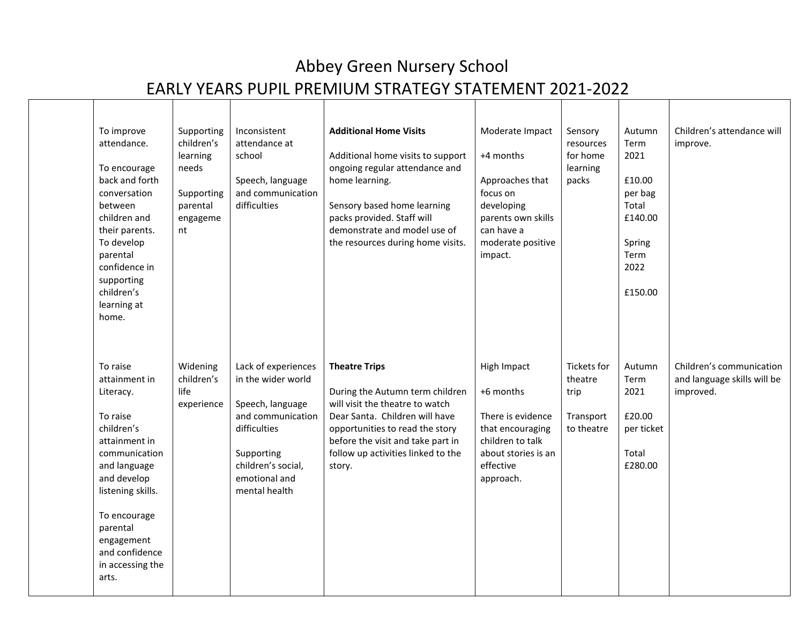| To improve<br>attendance.<br>To encourage<br>back and forth<br>conversation<br>between<br>children and<br>their parents.<br>To develop<br>parental<br>confidence in<br>supporting<br>children's<br>learning at<br>home.                         | Supporting<br>children's<br>learning<br>needs<br>Supporting<br>parental<br>engageme<br>nt | Inconsistent<br>attendance at<br>school<br>Speech, language<br>and communication<br>difficulties                                                                         | <b>Additional Home Visits</b><br>Additional home visits to support<br>ongoing regular attendance and<br>home learning.<br>Sensory based home learning<br>packs provided. Staff will<br>demonstrate and model use of<br>the resources during home visits. | Moderate Impact<br>+4 months<br>Approaches that<br>focus on<br>developing<br>parents own skills<br>can have a<br>moderate positive<br>impact. | Sensory<br>resources<br>for home<br>learning<br>packs     | Autumn<br>Term<br>2021<br>£10.00<br>per bag<br>Total<br>£140.00<br>Spring<br>Term<br>2022<br>£150.00 | Children's attendance will<br>improve.                               |
|-------------------------------------------------------------------------------------------------------------------------------------------------------------------------------------------------------------------------------------------------|-------------------------------------------------------------------------------------------|--------------------------------------------------------------------------------------------------------------------------------------------------------------------------|----------------------------------------------------------------------------------------------------------------------------------------------------------------------------------------------------------------------------------------------------------|-----------------------------------------------------------------------------------------------------------------------------------------------|-----------------------------------------------------------|------------------------------------------------------------------------------------------------------|----------------------------------------------------------------------|
| To raise<br>attainment in<br>Literacy.<br>To raise<br>children's<br>attainment in<br>communication<br>and language<br>and develop<br>listening skills.<br>To encourage<br>parental<br>engagement<br>and confidence<br>in accessing the<br>arts. | Widening<br>children's<br>life<br>experience                                              | Lack of experiences<br>in the wider world<br>Speech, language<br>and communication<br>difficulties<br>Supporting<br>children's social,<br>emotional and<br>mental health | <b>Theatre Trips</b><br>During the Autumn term children<br>will visit the theatre to watch<br>Dear Santa. Children will have<br>opportunities to read the story<br>before the visit and take part in<br>follow up activities linked to the<br>story.     | High Impact<br>+6 months<br>There is evidence<br>that encouraging<br>children to talk<br>about stories is an<br>effective<br>approach.        | Tickets for<br>theatre<br>trip<br>Transport<br>to theatre | Autumn<br>Term<br>2021<br>£20.00<br>per ticket<br>Total<br>£280.00                                   | Children's communication<br>and language skills will be<br>improved. |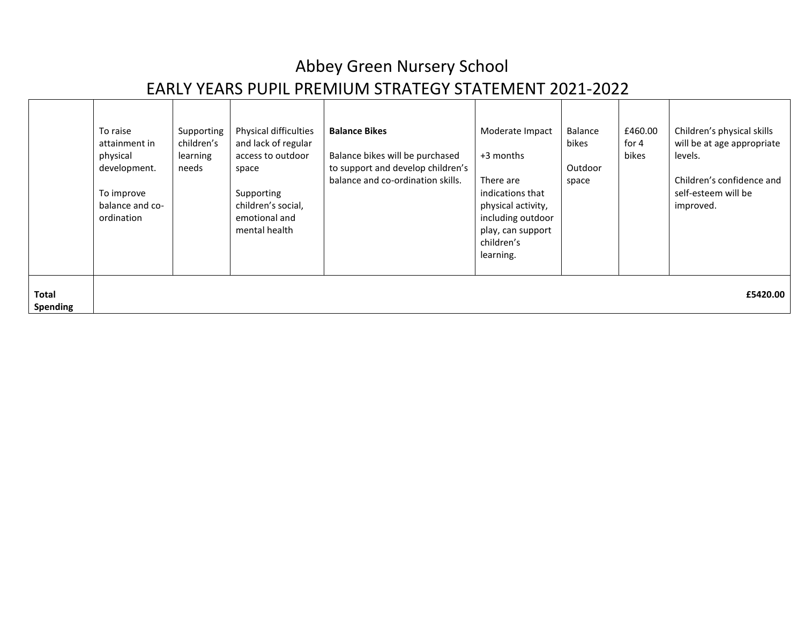|                                 | To raise<br>attainment in<br>physical<br>development.<br>To improve<br>balance and co-<br>ordination | Supporting<br>children's<br>learning<br>needs | Physical difficulties<br>and lack of regular<br>access to outdoor<br>space<br>Supporting<br>children's social,<br>emotional and<br>mental health | <b>Balance Bikes</b><br>Balance bikes will be purchased<br>to support and develop children's<br>balance and co-ordination skills. | Moderate Impact<br>+3 months<br>There are<br>indications that<br>physical activity,<br>including outdoor<br>play, can support<br>children's<br>learning. | Balance<br>bikes<br>Outdoor<br>space | £460.00<br>for $4$<br>bikes | Children's physical skills<br>will be at age appropriate<br>levels.<br>Children's confidence and<br>self-esteem will be<br>improved. |
|---------------------------------|------------------------------------------------------------------------------------------------------|-----------------------------------------------|--------------------------------------------------------------------------------------------------------------------------------------------------|-----------------------------------------------------------------------------------------------------------------------------------|----------------------------------------------------------------------------------------------------------------------------------------------------------|--------------------------------------|-----------------------------|--------------------------------------------------------------------------------------------------------------------------------------|
| <b>Total</b><br><b>Spending</b> |                                                                                                      |                                               |                                                                                                                                                  |                                                                                                                                   |                                                                                                                                                          |                                      |                             | £5420.00                                                                                                                             |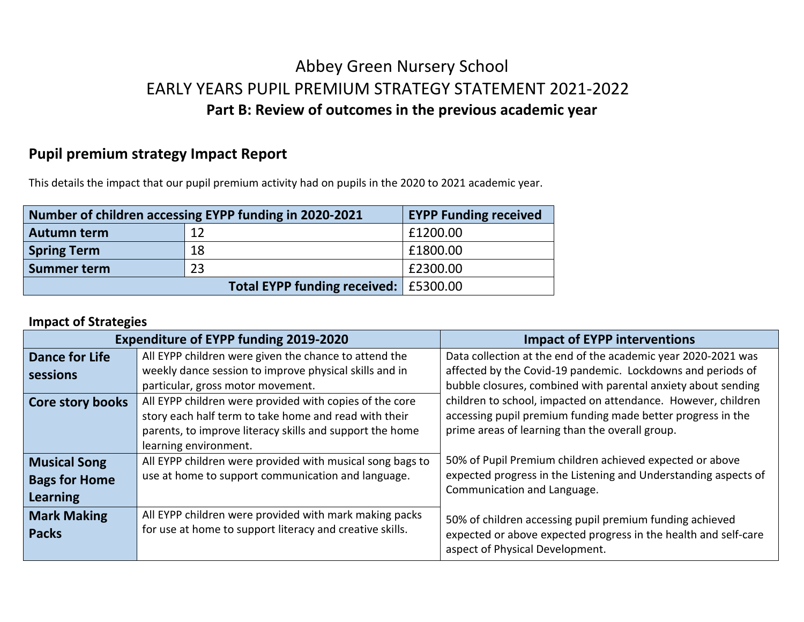### Abbey Green Nursery School EARLY YEARS PUPIL PREMIUM STRATEGY STATEMENT 2021-2022 **Part B: Review of outcomes in the previous academic year**

### **Pupil premium strategy Impact Report**

This details the impact that our pupil premium activity had on pupils in the 2020 to 2021 academic year.

| Number of children accessing EYPP funding in 2020-2021 | <b>EYPP Funding received</b>            |          |
|--------------------------------------------------------|-----------------------------------------|----------|
| <b>Autumn term</b>                                     | 12                                      | £1200.00 |
| <b>Spring Term</b>                                     | 18                                      | £1800.00 |
| <b>Summer term</b>                                     | 23                                      | £2300.00 |
|                                                        | Total EYPP funding received:   £5300.00 |          |

#### **Impact of Strategies**

|                       | <b>Expenditure of EYPP funding 2019-2020</b>              | <b>Impact of EYPP interventions</b>                             |
|-----------------------|-----------------------------------------------------------|-----------------------------------------------------------------|
| <b>Dance for Life</b> | All EYPP children were given the chance to attend the     | Data collection at the end of the academic year 2020-2021 was   |
| sessions              | weekly dance session to improve physical skills and in    | affected by the Covid-19 pandemic. Lockdowns and periods of     |
|                       | particular, gross motor movement.                         | bubble closures, combined with parental anxiety about sending   |
| Core story books      | All EYPP children were provided with copies of the core   | children to school, impacted on attendance. However, children   |
|                       | story each half term to take home and read with their     | accessing pupil premium funding made better progress in the     |
|                       | parents, to improve literacy skills and support the home  | prime areas of learning than the overall group.                 |
|                       | learning environment.                                     |                                                                 |
| <b>Musical Song</b>   | All EYPP children were provided with musical song bags to | 50% of Pupil Premium children achieved expected or above        |
| <b>Bags for Home</b>  | use at home to support communication and language.        | expected progress in the Listening and Understanding aspects of |
| Learning              |                                                           | Communication and Language.                                     |
| <b>Mark Making</b>    | All EYPP children were provided with mark making packs    | 50% of children accessing pupil premium funding achieved        |
| <b>Packs</b>          | for use at home to support literacy and creative skills.  | expected or above expected progress in the health and self-care |
|                       |                                                           | aspect of Physical Development.                                 |